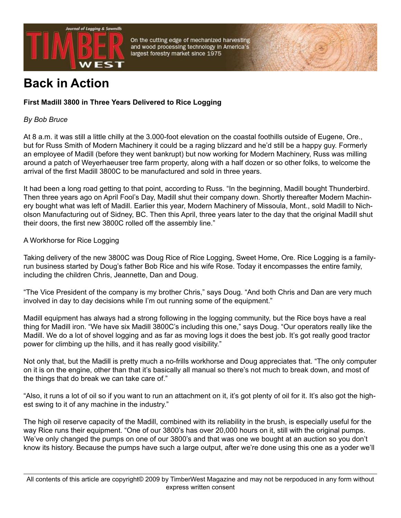

On the cutting edge of mechanized harvesting and wood processing technology in America's largest forestry market since 1975

# **Back in Action**

## **First Madill 3800 in Three Years Delivered to Rice Logging**

### *By Bob Bruce*

At 8 a.m. it was still a little chilly at the 3.000-foot elevation on the coastal foothills outside of Eugene, Ore., but for Russ Smith of Modern Machinery it could be a raging blizzard and he'd still be a happy guy. Formerly an employee of Madill (before they went bankrupt) but now working for Modern Machinery, Russ was milling around a patch of Weyerhaeuser tree farm property, along with a half dozen or so other folks, to welcome the arrival of the first Madill 3800C to be manufactured and sold in three years.

It had been a long road getting to that point, according to Russ. "In the beginning, Madill bought Thunderbird. Then three years ago on April Fool's Day, Madill shut their company down. Shortly thereafter Modern Machinery bought what was left of Madill. Earlier this year, Modern Machinery of Missoula, Mont., sold Madill to Nicholson Manufacturing out of Sidney, BC. Then this April, three years later to the day that the original Madill shut their doors, the first new 3800C rolled off the assembly line."

#### A Workhorse for Rice Logging

Taking delivery of the new 3800C was Doug Rice of Rice Logging, Sweet Home, Ore. Rice Logging is a familyrun business started by Doug's father Bob Rice and his wife Rose. Today it encompasses the entire family, including the children Chris, Jeannette, Dan and Doug.

"The Vice President of the company is my brother Chris," says Doug. "And both Chris and Dan are very much involved in day to day decisions while I'm out running some of the equipment."

Madill equipment has always had a strong following in the logging community, but the Rice boys have a real thing for Madill iron. "We have six Madill 3800C's including this one," says Doug. "Our operators really like the Madill. We do a lot of shovel logging and as far as moving logs it does the best job. It's got really good tractor power for climbing up the hills, and it has really good visibility."

Not only that, but the Madill is pretty much a no-frills workhorse and Doug appreciates that. "The only computer on it is on the engine, other than that it's basically all manual so there's not much to break down, and most of the things that do break we can take care of."

"Also, it runs a lot of oil so if you want to run an attachment on it, it's got plenty of oil for it. It's also got the highest swing to it of any machine in the industry."

The high oil reserve capacity of the Madill, combined with its reliability in the brush, is especially useful for the way Rice runs their equipment. "One of our 3800's has over 20,000 hours on it, still with the original pumps. We've only changed the pumps on one of our 3800's and that was one we bought at an auction so you don't know its history. Because the pumps have such a large output, after we're done using this one as a yoder we'll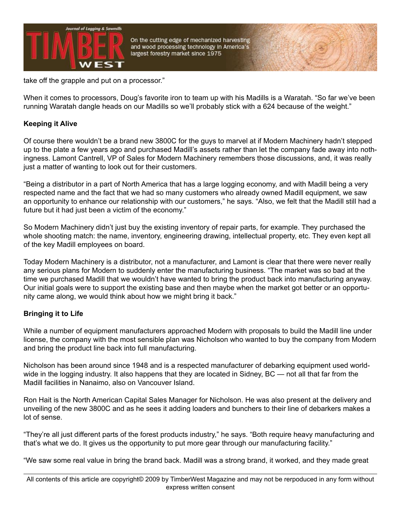

On the cutting edge of mechanized harvesting and wood processing technology in America's largest forestry market since 1975

take off the grapple and put on a processor."

When it comes to processors, Doug's favorite iron to team up with his Madills is a Waratah. "So far we've been running Waratah dangle heads on our Madills so we'll probably stick with a 624 because of the weight."

#### **Keeping it Alive**

Of course there wouldn't be a brand new 3800C for the guys to marvel at if Modern Machinery hadn't stepped up to the plate a few years ago and purchased Madill's assets rather than let the company fade away into nothingness. Lamont Cantrell, VP of Sales for Modern Machinery remembers those discussions, and, it was really just a matter of wanting to look out for their customers.

"Being a distributor in a part of North America that has a large logging economy, and with Madill being a very respected name and the fact that we had so many customers who already owned Madill equipment, we saw an opportunity to enhance our relationship with our customers," he says. "Also, we felt that the Madill still had a future but it had just been a victim of the economy."

So Modern Machinery didn't just buy the existing inventory of repair parts, for example. They purchased the whole shooting match: the name, inventory, engineering drawing, intellectual property, etc. They even kept all of the key Madill employees on board.

Today Modern Machinery is a distributor, not a manufacturer, and Lamont is clear that there were never really any serious plans for Modern to suddenly enter the manufacturing business. "The market was so bad at the time we purchased Madill that we wouldn't have wanted to bring the product back into manufacturing anyway. Our initial goals were to support the existing base and then maybe when the market got better or an opportunity came along, we would think about how we might bring it back."

#### **Bringing it to Life**

While a number of equipment manufacturers approached Modern with proposals to build the Madill line under license, the company with the most sensible plan was Nicholson who wanted to buy the company from Modern and bring the product line back into full manufacturing.

Nicholson has been around since 1948 and is a respected manufacturer of debarking equipment used worldwide in the logging industry. It also happens that they are located in Sidney, BC — not all that far from the Madill facilities in Nanaimo, also on Vancouver Island.

Ron Hait is the North American Capital Sales Manager for Nicholson. He was also present at the delivery and unveiling of the new 3800C and as he sees it adding loaders and bunchers to their line of debarkers makes a lot of sense.

"They're all just different parts of the forest products industry," he says. "Both require heavy manufacturing and that's what we do. It gives us the opportunity to put more gear through our manufacturing facility."

"We saw some real value in bring the brand back. Madill was a strong brand, it worked, and they made great